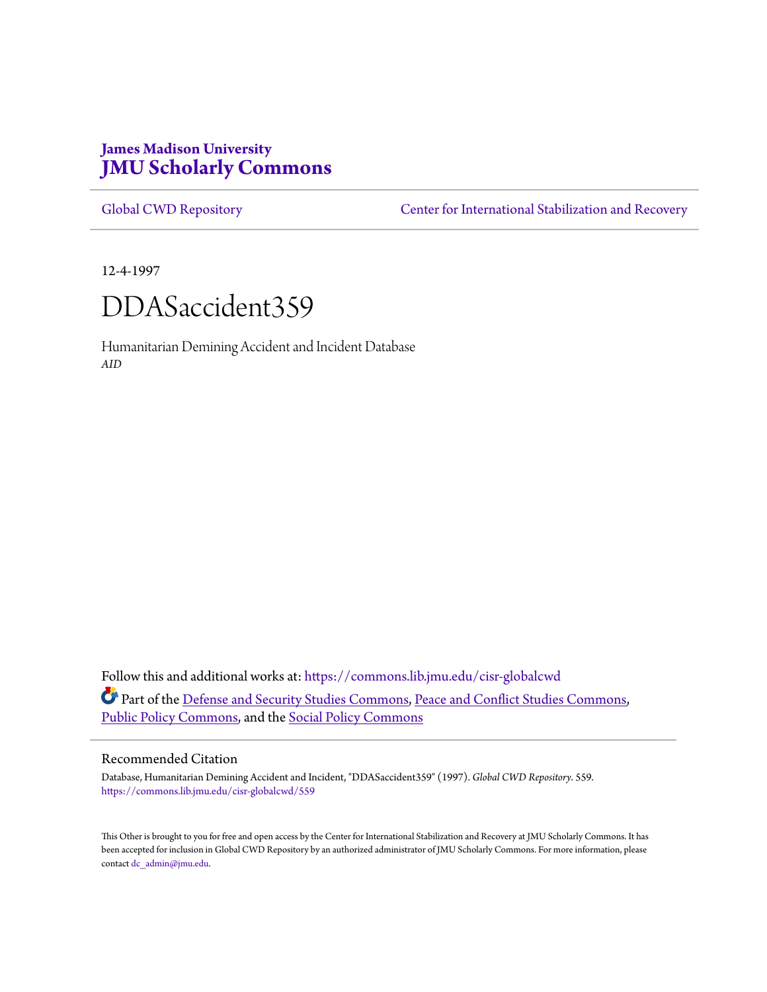# **James Madison University [JMU Scholarly Commons](https://commons.lib.jmu.edu?utm_source=commons.lib.jmu.edu%2Fcisr-globalcwd%2F559&utm_medium=PDF&utm_campaign=PDFCoverPages)**

[Global CWD Repository](https://commons.lib.jmu.edu/cisr-globalcwd?utm_source=commons.lib.jmu.edu%2Fcisr-globalcwd%2F559&utm_medium=PDF&utm_campaign=PDFCoverPages) **[Center for International Stabilization and Recovery](https://commons.lib.jmu.edu/cisr?utm_source=commons.lib.jmu.edu%2Fcisr-globalcwd%2F559&utm_medium=PDF&utm_campaign=PDFCoverPages)** 

12-4-1997



Humanitarian Demining Accident and Incident Database *AID*

Follow this and additional works at: [https://commons.lib.jmu.edu/cisr-globalcwd](https://commons.lib.jmu.edu/cisr-globalcwd?utm_source=commons.lib.jmu.edu%2Fcisr-globalcwd%2F559&utm_medium=PDF&utm_campaign=PDFCoverPages) Part of the [Defense and Security Studies Commons](http://network.bepress.com/hgg/discipline/394?utm_source=commons.lib.jmu.edu%2Fcisr-globalcwd%2F559&utm_medium=PDF&utm_campaign=PDFCoverPages), [Peace and Conflict Studies Commons](http://network.bepress.com/hgg/discipline/397?utm_source=commons.lib.jmu.edu%2Fcisr-globalcwd%2F559&utm_medium=PDF&utm_campaign=PDFCoverPages), [Public Policy Commons,](http://network.bepress.com/hgg/discipline/400?utm_source=commons.lib.jmu.edu%2Fcisr-globalcwd%2F559&utm_medium=PDF&utm_campaign=PDFCoverPages) and the [Social Policy Commons](http://network.bepress.com/hgg/discipline/1030?utm_source=commons.lib.jmu.edu%2Fcisr-globalcwd%2F559&utm_medium=PDF&utm_campaign=PDFCoverPages)

## Recommended Citation

Database, Humanitarian Demining Accident and Incident, "DDASaccident359" (1997). *Global CWD Repository*. 559. [https://commons.lib.jmu.edu/cisr-globalcwd/559](https://commons.lib.jmu.edu/cisr-globalcwd/559?utm_source=commons.lib.jmu.edu%2Fcisr-globalcwd%2F559&utm_medium=PDF&utm_campaign=PDFCoverPages)

This Other is brought to you for free and open access by the Center for International Stabilization and Recovery at JMU Scholarly Commons. It has been accepted for inclusion in Global CWD Repository by an authorized administrator of JMU Scholarly Commons. For more information, please contact [dc\\_admin@jmu.edu.](mailto:dc_admin@jmu.edu)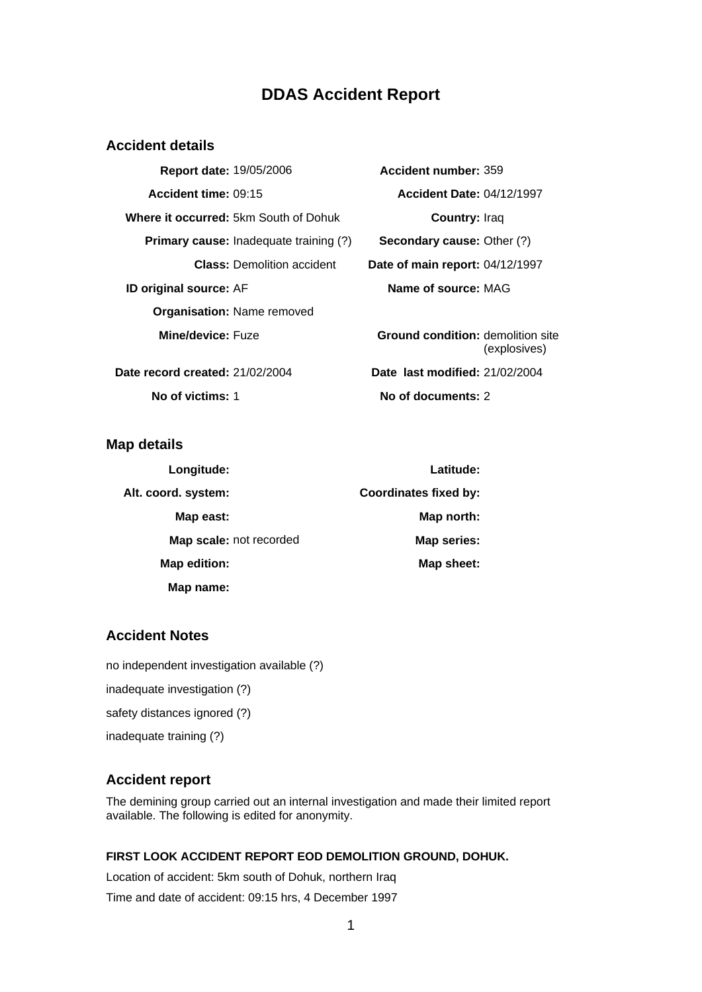# **DDAS Accident Report**

# **Accident details**

| Report date: 19/05/2006                       | Accident number: 359                                  |
|-----------------------------------------------|-------------------------------------------------------|
| Accident time: 09:15                          | <b>Accident Date: 04/12/1997</b>                      |
| <b>Where it occurred: 5km South of Dohuk</b>  | <b>Country: Iraq</b>                                  |
| <b>Primary cause:</b> Inadequate training (?) | <b>Secondary cause: Other (?)</b>                     |
| <b>Class: Demolition accident</b>             | Date of main report: 04/12/1997                       |
| ID original source: AF                        | Name of source: MAG                                   |
| <b>Organisation: Name removed</b>             |                                                       |
| Mine/device: Fuze                             | <b>Ground condition: demolition s</b><br>(explosives) |
| Date record created: 21/02/2004               | Date last modified: 21/02/2004                        |

**Accident number: 359 Accident time:** 09:15 **Accident Date:** 04/12/1997 **Country:** Iraq **Secondary cause:** Other (?) Date of main report: 04/12/1997 **Name of source: MAG Ground condition:** demolition site

(explosives) **No of victims:** 1 **No of documents:** 2

**Map details** 

| Longitude:              | Latitude:                    |
|-------------------------|------------------------------|
| Alt. coord. system:     | <b>Coordinates fixed by:</b> |
| Map east:               | Map north:                   |
| Map scale: not recorded | Map series:                  |
| Map edition:            | Map sheet:                   |
| Map name:               |                              |

# **Accident Notes**

no independent investigation available (?)

inadequate investigation (?)

safety distances ignored (?)

inadequate training (?)

# **Accident report**

The demining group carried out an internal investigation and made their limited report available. The following is edited for anonymity.

## **FIRST LOOK ACCIDENT REPORT EOD DEMOLITION GROUND, DOHUK.**

Location of accident: 5km south of Dohuk, northern Iraq Time and date of accident: 09:15 hrs, 4 December 1997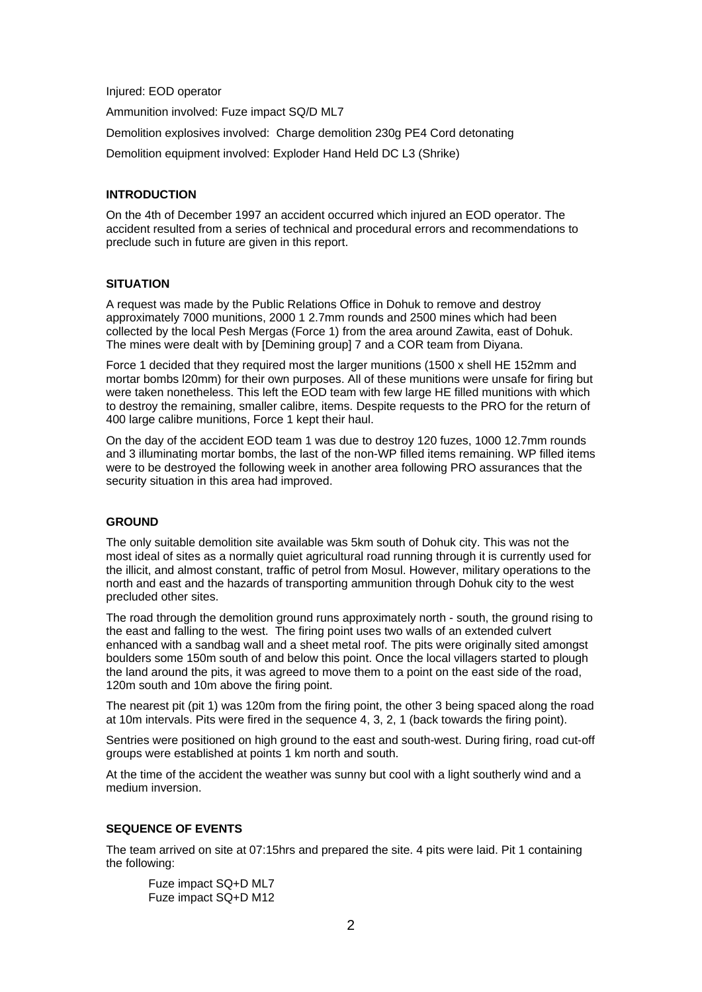#### Injured: EOD operator

Ammunition involved: Fuze impact SQ/D ML7

Demolition explosives involved: Charge demolition 230g PE4 Cord detonating

Demolition equipment involved: Exploder Hand Held DC L3 (Shrike)

### **INTRODUCTION**

On the 4th of December 1997 an accident occurred which injured an EOD operator. The accident resulted from a series of technical and procedural errors and recommendations to preclude such in future are given in this report.

## **SITUATION**

A request was made by the Public Relations Office in Dohuk to remove and destroy approximately 7000 munitions, 2000 1 2.7mm rounds and 2500 mines which had been collected by the local Pesh Mergas (Force 1) from the area around Zawita, east of Dohuk. The mines were dealt with by [Demining group] 7 and a COR team from Diyana.

Force 1 decided that they required most the larger munitions (1500 x shell HE 152mm and mortar bombs l20mm) for their own purposes. All of these munitions were unsafe for firing but were taken nonetheless. This left the EOD team with few large HE filled munitions with which to destroy the remaining, smaller calibre, items. Despite requests to the PRO for the return of 400 large calibre munitions, Force 1 kept their haul.

On the day of the accident EOD team 1 was due to destroy 120 fuzes, 1000 12.7mm rounds and 3 illuminating mortar bombs, the last of the non-WP filled items remaining. WP filled items were to be destroyed the following week in another area following PRO assurances that the security situation in this area had improved.

## **GROUND**

The only suitable demolition site available was 5km south of Dohuk city. This was not the most ideal of sites as a normally quiet agricultural road running through it is currently used for the illicit, and almost constant, traffic of petrol from Mosul. However, military operations to the north and east and the hazards of transporting ammunition through Dohuk city to the west precluded other sites.

The road through the demolition ground runs approximately north - south, the ground rising to the east and falling to the west. The firing point uses two walls of an extended culvert enhanced with a sandbag wall and a sheet metal roof. The pits were originally sited amongst boulders some 150m south of and below this point. Once the local villagers started to plough the land around the pits, it was agreed to move them to a point on the east side of the road, 120m south and 10m above the firing point.

The nearest pit (pit 1) was 120m from the firing point, the other 3 being spaced along the road at 10m intervals. Pits were fired in the sequence 4, 3, 2, 1 (back towards the firing point).

Sentries were positioned on high ground to the east and south-west. During firing, road cut-off groups were established at points 1 km north and south.

At the time of the accident the weather was sunny but cool with a light southerly wind and a medium inversion.

### **SEQUENCE OF EVENTS**

The team arrived on site at 07:15hrs and prepared the site. 4 pits were laid. Pit 1 containing the following:

Fuze impact SQ+D ML7 Fuze impact SQ+D M12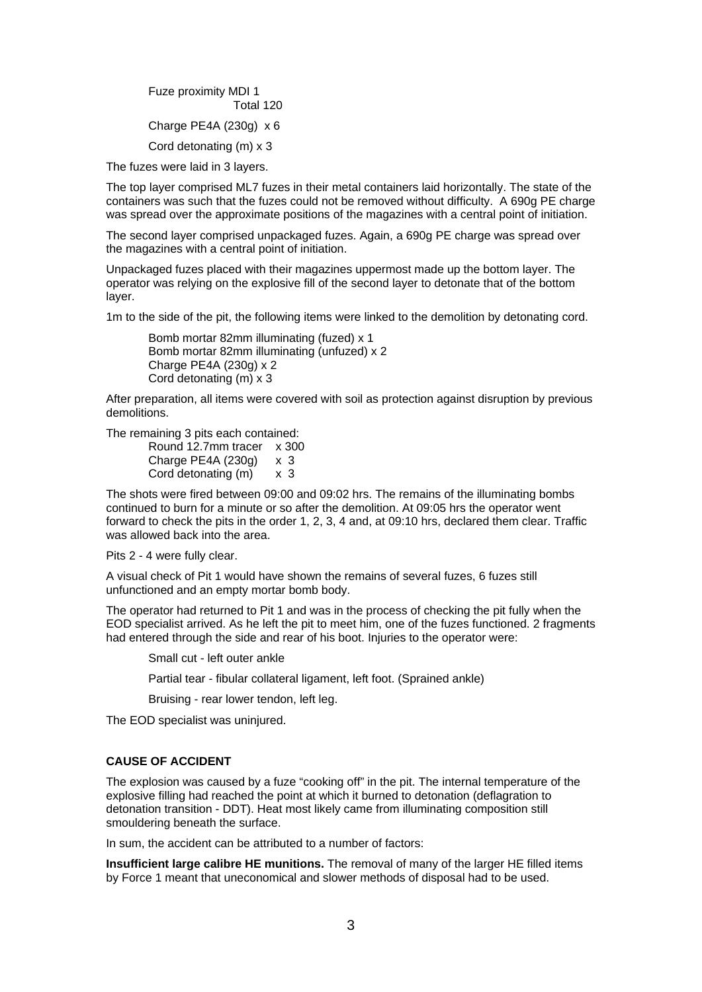Fuze proximity MDI 1 Total 120 Charge PE4A (230g) x 6 Cord detonating (m) x 3

The fuzes were laid in 3 layers.

The top layer comprised ML7 fuzes in their metal containers laid horizontally. The state of the containers was such that the fuzes could not be removed without difficulty. A 690g PE charge was spread over the approximate positions of the magazines with a central point of initiation.

The second layer comprised unpackaged fuzes. Again, a 690g PE charge was spread over the magazines with a central point of initiation.

Unpackaged fuzes placed with their magazines uppermost made up the bottom layer. The operator was relying on the explosive fill of the second layer to detonate that of the bottom layer.

1m to the side of the pit, the following items were linked to the demolition by detonating cord.

Bomb mortar 82mm illuminating (fuzed) x 1 Bomb mortar 82mm illuminating (unfuzed) x 2 Charge PE4A (230g) x 2 Cord detonating (m) x 3

After preparation, all items were covered with soil as protection against disruption by previous demolitions.

The remaining 3 pits each contained:

| Round 12.7mm tracer x 300 |     |
|---------------------------|-----|
| Charge PE4A (230g)        | x 3 |
| Cord detonating (m)       | x 3 |

The shots were fired between 09:00 and 09:02 hrs. The remains of the illuminating bombs continued to burn for a minute or so after the demolition. At 09:05 hrs the operator went forward to check the pits in the order 1, 2, 3, 4 and, at 09:10 hrs, declared them clear. Traffic was allowed back into the area.

Pits 2 - 4 were fully clear.

A visual check of Pit 1 would have shown the remains of several fuzes, 6 fuzes still unfunctioned and an empty mortar bomb body.

The operator had returned to Pit 1 and was in the process of checking the pit fully when the EOD specialist arrived. As he left the pit to meet him, one of the fuzes functioned. 2 fragments had entered through the side and rear of his boot. Injuries to the operator were:

Small cut - left outer ankle

Partial tear - fibular collateral ligament, left foot. (Sprained ankle)

Bruising - rear lower tendon, left leg.

The EOD specialist was uninjured.

### **CAUSE OF ACCIDENT**

The explosion was caused by a fuze "cooking off" in the pit. The internal temperature of the explosive filling had reached the point at which it burned to detonation (deflagration to detonation transition - DDT). Heat most likely came from illuminating composition still smouldering beneath the surface.

In sum, the accident can be attributed to a number of factors:

**Insufficient large calibre HE munitions.** The removal of many of the larger HE filled items by Force 1 meant that uneconomical and slower methods of disposal had to be used.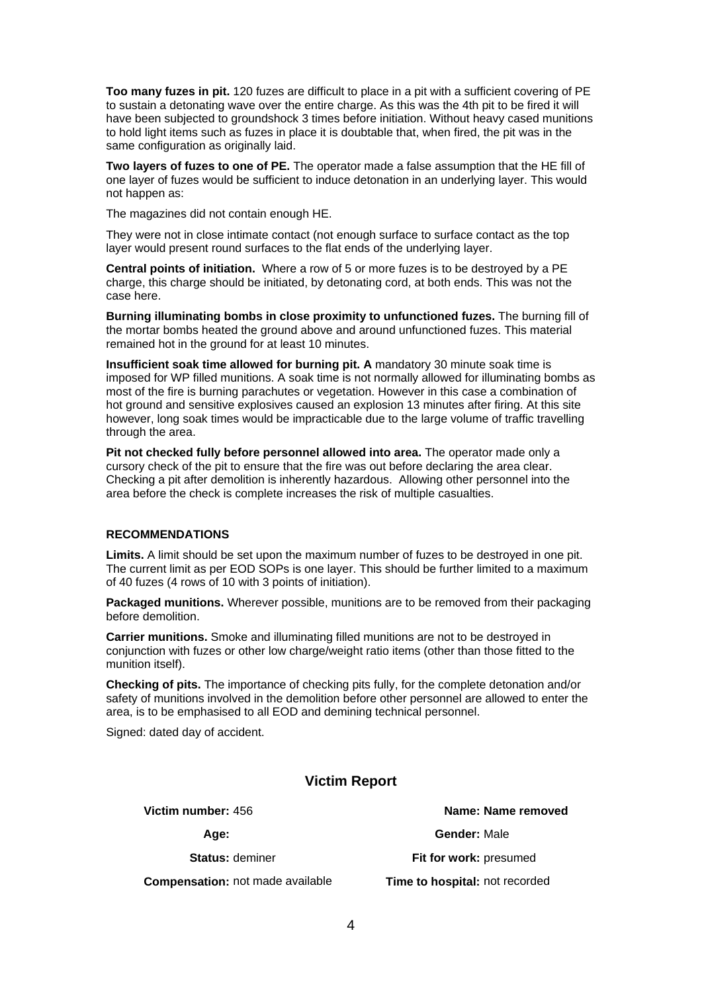**Too many fuzes in pit.** 120 fuzes are difficult to place in a pit with a sufficient covering of PE to sustain a detonating wave over the entire charge. As this was the 4th pit to be fired it will have been subjected to groundshock 3 times before initiation. Without heavy cased munitions to hold light items such as fuzes in place it is doubtable that, when fired, the pit was in the same configuration as originally laid.

**Two layers of fuzes to one of PE.** The operator made a false assumption that the HE fill of one layer of fuzes would be sufficient to induce detonation in an underlying layer. This would not happen as:

The magazines did not contain enough HE.

They were not in close intimate contact (not enough surface to surface contact as the top layer would present round surfaces to the flat ends of the underlying layer.

**Central points of initiation.** Where a row of 5 or more fuzes is to be destroyed by a PE charge, this charge should be initiated, by detonating cord, at both ends. This was not the case here.

**Burning illuminating bombs in close proximity to unfunctioned fuzes.** The burning fill of the mortar bombs heated the ground above and around unfunctioned fuzes. This material remained hot in the ground for at least 10 minutes.

**Insufficient soak time allowed for burning pit. A** mandatory 30 minute soak time is imposed for WP filled munitions. A soak time is not normally allowed for illuminating bombs as most of the fire is burning parachutes or vegetation. However in this case a combination of hot ground and sensitive explosives caused an explosion 13 minutes after firing. At this site however, long soak times would be impracticable due to the large volume of traffic travelling through the area.

**Pit not checked fully before personnel allowed into area.** The operator made only a cursory check of the pit to ensure that the fire was out before declaring the area clear. Checking a pit after demolition is inherently hazardous. Allowing other personnel into the area before the check is complete increases the risk of multiple casualties.

## **RECOMMENDATIONS**

**Limits.** A limit should be set upon the maximum number of fuzes to be destroyed in one pit. The current limit as per EOD SOPs is one layer. This should be further limited to a maximum of 40 fuzes (4 rows of 10 with 3 points of initiation).

**Packaged munitions.** Wherever possible, munitions are to be removed from their packaging before demolition.

**Carrier munitions.** Smoke and illuminating filled munitions are not to be destroyed in conjunction with fuzes or other low charge/weight ratio items (other than those fitted to the munition itself).

**Checking of pits.** The importance of checking pits fully, for the complete detonation and/or safety of munitions involved in the demolition before other personnel are allowed to enter the area, is to be emphasised to all EOD and demining technical personnel.

Signed: dated day of accident.

# **Victim Report**

**Compensation:** not made available **Time to hospital:** not recorded

**Victim number:** 456 **Name: Name removed Age: Gender:** Male **Status:** deminer **Fit for work:** presumed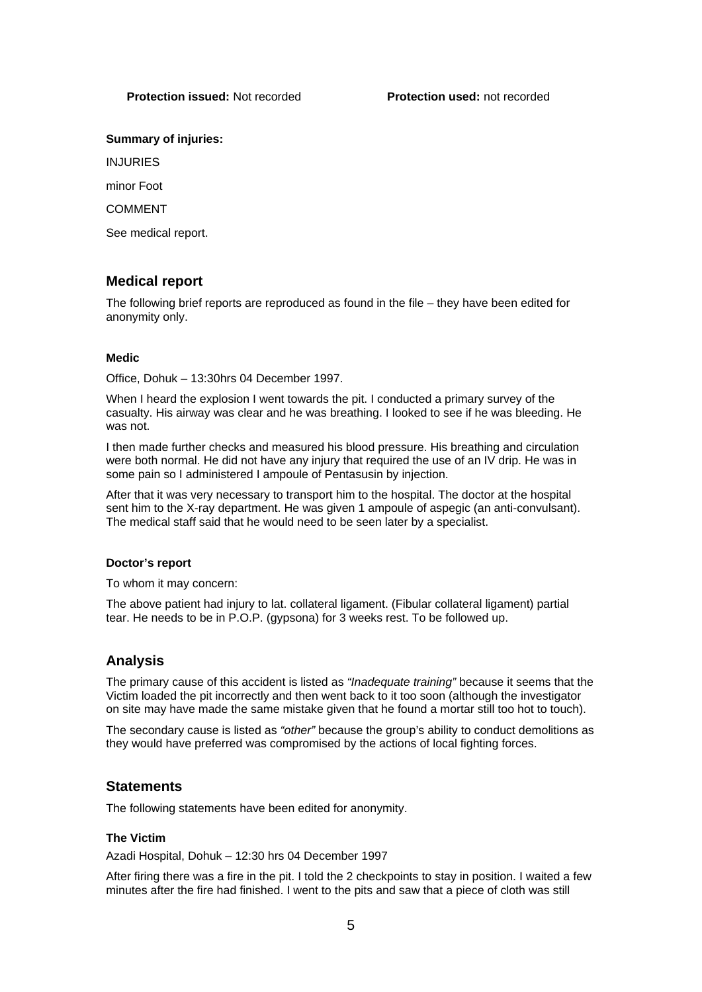## **Protection issued:** Not recorded **Protection used:** not recorded

### **Summary of injuries:**

INJURIES

minor Foot

**COMMENT** 

See medical report.

# **Medical report**

The following brief reports are reproduced as found in the file – they have been edited for anonymity only.

## **Medic**

Office, Dohuk – 13:30hrs 04 December 1997.

When I heard the explosion I went towards the pit. I conducted a primary survey of the casualty. His airway was clear and he was breathing. I looked to see if he was bleeding. He was not.

I then made further checks and measured his blood pressure. His breathing and circulation were both normal. He did not have any injury that required the use of an IV drip. He was in some pain so I administered I ampoule of Pentasusin by injection.

After that it was very necessary to transport him to the hospital. The doctor at the hospital sent him to the X-ray department. He was given 1 ampoule of aspegic (an anti-convulsant). The medical staff said that he would need to be seen later by a specialist.

### **Doctor's report**

To whom it may concern:

The above patient had injury to lat. collateral ligament. (Fibular collateral ligament) partial tear. He needs to be in P.O.P. (gypsona) for 3 weeks rest. To be followed up.

# **Analysis**

The primary cause of this accident is listed as *"Inadequate training"* because it seems that the Victim loaded the pit incorrectly and then went back to it too soon (although the investigator on site may have made the same mistake given that he found a mortar still too hot to touch).

The secondary cause is listed as *"other"* because the group's ability to conduct demolitions as they would have preferred was compromised by the actions of local fighting forces.

## **Statements**

The following statements have been edited for anonymity.

### **The Victim**

Azadi Hospital, Dohuk – 12:30 hrs 04 December 1997

After firing there was a fire in the pit. I told the 2 checkpoints to stay in position. I waited a few minutes after the fire had finished. I went to the pits and saw that a piece of cloth was still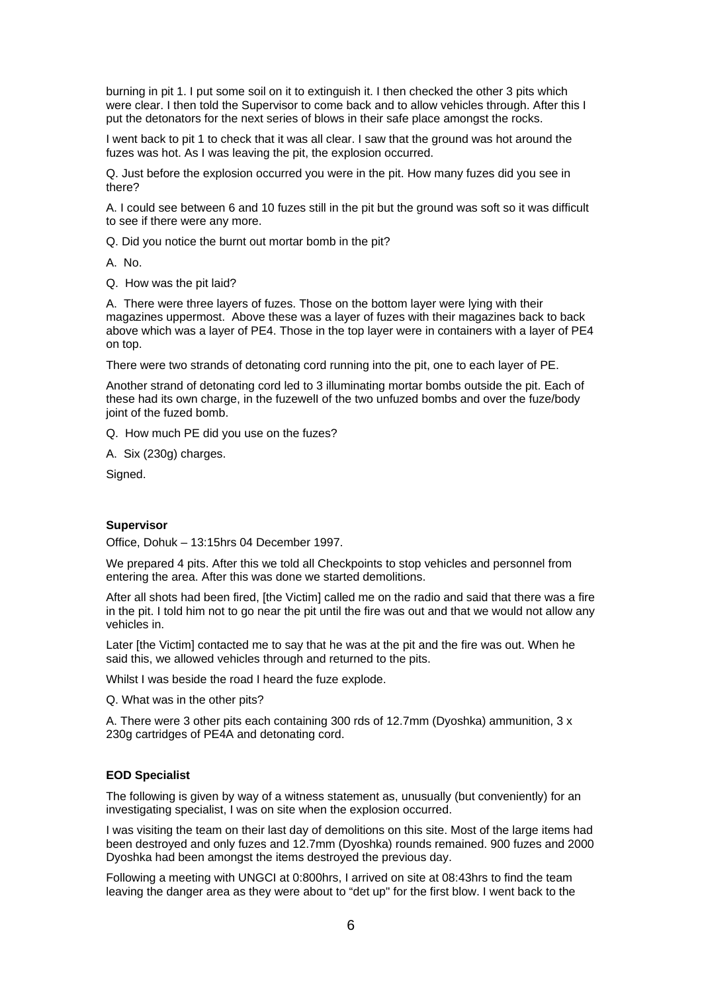burning in pit 1. I put some soil on it to extinguish it. I then checked the other 3 pits which were clear. I then told the Supervisor to come back and to allow vehicles through. After this I put the detonators for the next series of blows in their safe place amongst the rocks.

I went back to pit 1 to check that it was all clear. I saw that the ground was hot around the fuzes was hot. As I was leaving the pit, the explosion occurred.

Q. Just before the explosion occurred you were in the pit. How many fuzes did you see in there?

A. I could see between 6 and 10 fuzes still in the pit but the ground was soft so it was difficult to see if there were any more.

Q. Did you notice the burnt out mortar bomb in the pit?

A. No.

Q. How was the pit laid?

A. There were three layers of fuzes. Those on the bottom layer were lying with their magazines uppermost. Above these was a layer of fuzes with their magazines back to back above which was a layer of PE4. Those in the top layer were in containers with a layer of PE4 on top.

There were two strands of detonating cord running into the pit, one to each layer of PE.

Another strand of detonating cord led to 3 illuminating mortar bombs outside the pit. Each of these had its own charge, in the fuzewelI of the two unfuzed bombs and over the fuze/body joint of the fuzed bomb.

Q. How much PE did you use on the fuzes?

A. Six (230g) charges.

Signed.

#### **Supervisor**

Office, Dohuk – 13:15hrs 04 December 1997.

We prepared 4 pits. After this we told all Checkpoints to stop vehicles and personnel from entering the area. After this was done we started demolitions.

After all shots had been fired, [the Victim] called me on the radio and said that there was a fire in the pit. I told him not to go near the pit until the fire was out and that we would not allow any vehicles in.

Later [the Victim] contacted me to say that he was at the pit and the fire was out. When he said this, we allowed vehicles through and returned to the pits.

Whilst I was beside the road I heard the fuze explode.

Q. What was in the other pits?

A. There were 3 other pits each containing 300 rds of 12.7mm (Dyoshka) ammunition, 3 x 230g cartridges of PE4A and detonating cord.

#### **EOD Specialist**

The following is given by way of a witness statement as, unusually (but conveniently) for an investigating specialist, I was on site when the explosion occurred.

I was visiting the team on their last day of demolitions on this site. Most of the large items had been destroyed and only fuzes and 12.7mm (Dyoshka) rounds remained. 900 fuzes and 2000 Dyoshka had been amongst the items destroyed the previous day.

Following a meeting with UNGCI at 0:800hrs, I arrived on site at 08:43hrs to find the team leaving the danger area as they were about to "det up" for the first blow. I went back to the